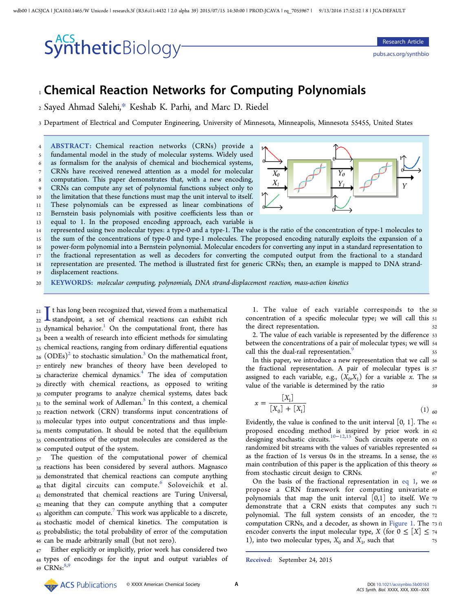#### wdb00 | ACSJCA | JCA10.0.1465/W Unicode | research.3f (R3.6.i11:4432 | 2.0 alpha 39) 2015/07/15 14:30:00 | PROD-JCAVA | rq\_7055967 | 9/13/2016 17:52:52 | 8 | JCA-DEFAULT

## SyntheticBiology<sup>-</sup>

pubs.acs.org/synthbio

### <sup>1</sup> Chemical Reaction Networks for Computing Polynomials

<sup>2</sup> Sayed Ahmad Salehi,\* Keshab K. Parhi, and Marc D. Riedel

<sup>3</sup> Department of Electrical and Computer Engineering, University of Minnesota, Minneapolis, Minnesota 55455, United States

 ABSTRACT: Chemical reaction networks (CRNs) provide a fundamental model in the study of molecular systems. Widely used as formalism for the analysis of chemical and biochemical systems, CRNs have received renewed attention as a model for molecular computation. This paper demonstrates that, with a new encoding, CRNs can compute any set of polynomial functions subject only to the limitation that these functions must map the unit interval to itself. These polynomials can be expressed as linear combinations of Bernstein basis polynomials with positive coefficients less than or equal to 1. In the proposed encoding approach, each variable is



 represented using two molecular types: a type-0 and a type-1. The value is the ratio of the concentration of type-1 molecules to the sum of the concentrations of type-0 and type-1 molecules. The proposed encoding naturally exploits the expansion of a power-form polynomial into a Bernstein polynomial. Molecular encoders for converting any input in a standard representation to the fractional representation as well as decoders for converting the computed output from the fractional to a standard

<sup>18</sup> representation are presented. The method is illustrated first for generic CRNs; then, an example is mapped to DNA strand-

<sup>19</sup> displacement reactions.

<sup>20</sup> KEYWORDS: molecular computing, polynomials, DNA strand-displacement reaction, mass-action kinetics

21  $\int_{22}$  t has long been recognized that, viewed from a mathematical standpoint, a set of chemical reactions can exhibit rich  $_{23}$  dynamical behavior.<sup>1</sup> On the computational front, there has t has long been recognized that, viewed from a mathematical  $_{22}$  **L** standpoint, a set of chemical reactions can exhibit rich <sup>24</sup> been a wealth of research into efficient methods for simulating <sup>25</sup> chemical reactions, ranging from ordinary differential equations  $_{26}$  (ODEs)<sup>2</sup> to stochastic simulation.<sup>3</sup> On the mathematical front, <sup>27</sup> entirely new branches of theory have been developed to <sup>28</sup> characterize chemical dynamics.<sup>4</sup> The idea of computation <sup>29</sup> directly with chemical reactions, as opposed to writing 30 computer programs to analyze chemical systems, dates back  $31$  to the seminal work of Adleman.<sup>5</sup> In this context, a chemical 32 reaction network (CRN) transforms input concentrations of 33 molecular types into output concentrations and thus imple-34 ments computation. It should be noted that the equilibrium 35 concentrations of the output molecules are considered as the <sup>36</sup> computed output of the system.

 The question of the computational power of chemical 38 reactions has been considered by several authors. Magnasco demonstrated that chemical reactions can compute anything that digital circuits can compute. Soloveichik et al. demonstrated that chemical reactions are Turing Universal, meaning that they can compute anything that a computer  $_{43}$  algorithm can compute.<sup>7</sup> This work was applicable to a discrete, stochastic model of chemical kinetics. The computation is probabilistic; the total probability of error of the computation can be made arbitrarily small (but not zero).

Either explicitly or implicitly, prior work has considered two <sup>48</sup> types of encodings for the input and output variables of 49  $CRNs: 8,9$ 

1. The value of each variable corresponds to the <sup>50</sup> concentration of a specific molecular type; we will call this <sup>51</sup> the direct representation. 52

2. The value of each variable is represented by the difference <sup>53</sup> between the concentrations of a pair of molecular types; we will <sup>54</sup> call this the dual-rail representation.<sup>9</sup>

In this paper, we introduce a new representation that we call <sup>56</sup> the fractional representation. A pair of molecular types is <sup>57</sup> assigned to each variable, e.g.,  $(X_0, X_1)$  for a variable x. The ss value of the variable is determined by the ratio 59

$$
x = \frac{[X_1]}{[X_0] + [X_1]} \tag{1}
$$

Evidently, the value is confined to the unit interval  $[0, 1]$ . The 61 proposed encoding method is inspired by prior work in <sup>62</sup> designing stochastic circuits.  $10-12,15$  Such circuits operate on 63 randomized bit streams with the values of variables represented <sup>64</sup> as the fraction of 1s versus 0s in the streams. In a sense, the <sup>65</sup> main contribution of this paper is the application of this theory 66 from stochastic circuit design to CRNs.

On the basis of the fractional representation in eq 1, we <sup>68</sup> propose a CRN framework for computing univariate <sup>69</sup> polynomials that map the unit interval  $[0,1]$  to itself. We 70 demonstrate that a CRN exists that computes any such <sup>71</sup> polynomial. The full system consists of an encoder, the <sup>72</sup> computation CRNs, and a decoder, as shown in Figure 1. The 73 f1 encoder converts the input molecular type, X (for  $0 \leq [X] \leq 74$ 1), into two molecular types,  $X_0$  and  $X_1$ , such that  $75$ 

Received: September 24, 2015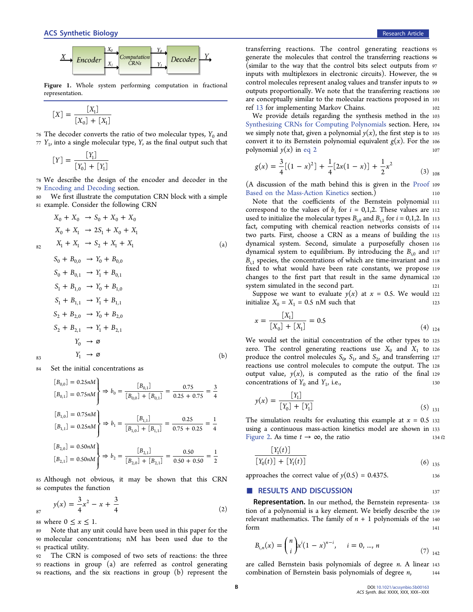

Figure 1. Whole system performing computation in fractional representation.

$$
[X] = \frac{[X_1]}{[X_0] + [X_1]}
$$

76 The decoder converts the ratio of two molecular types,  $Y_0$  and  $77 Y<sub>1</sub>$ , into a single molecular type, Y, as the final output such that

$$
[Y] = \frac{[Y_1]}{[Y_0] + [Y_1]}
$$

<sup>78</sup> We describe the design of the encoder and decoder in the <sup>79</sup> Encoding and Decoding section.

<sup>80</sup> We first illustrate the computation CRN block with a simple <sup>81</sup> example. Consider the following CRN

$$
X_0 + X_0 \rightarrow S_0 + X_0 + X_0
$$
  
\n
$$
X_0 + X_1 \rightarrow 2S_1 + X_0 + X_1
$$
  
\n
$$
X_1 + X_1 \rightarrow S_2 + X_1 + X_1
$$
  
\n
$$
S_0 + B_{0,0} \rightarrow Y_0 + B_{0,0}
$$
  
\n
$$
S_0 + B_{0,0} \rightarrow Y_0 + B_{0,0}
$$
  
\n
$$
S_0 + B_{0,0} \rightarrow Y_0 + B_{0,0}
$$
  
\n
$$
S_0 + B_{0,0} \rightarrow Y_0 + B_{0,0}
$$
  
\n
$$
(a)
$$

$$
S_0 + B_{0,1} \rightarrow Y_1 + B_{0,1}
$$
  
\n
$$
S_1 + B_{1,0} \rightarrow Y_0 + B_{1,0}
$$
  
\n
$$
S_1 + B_{1,1} \rightarrow Y_1 + B_{1,1}
$$
  
\n
$$
S_2 + B_{2,0} \rightarrow Y_0 + B_{2,0}
$$
  
\n
$$
S_2 + B_{2,1} \rightarrow Y_1 + B_{2,1}
$$
  
\n
$$
Y_0 \rightarrow \varnothing
$$
  
\n83  
\n
$$
Y_1 \rightarrow \varnothing
$$
 (b)

<sup>84</sup> Set the initial concentrations as

$$
[B_{0,0}] = 0.25nM
$$
  
\n
$$
[B_{0,1}] = 0.75nM
$$
  
\n
$$
[B_{1,0}] = 0.75nM
$$
  
\n
$$
[B_{1,0}] = 0.75nM
$$
  
\n
$$
[B_{1,1}] = 0.25nM
$$
  
\n
$$
[B_{1,1}] = 0.25nM
$$
  
\n
$$
[B_{2,0}] = 0.50nM
$$
  
\n
$$
[B_{2,0}] = 0.50nM
$$
  
\n
$$
[B_{2,1}] = 0.50nM
$$
  
\n
$$
[B_{2,1}] = 0.50nM
$$
  
\n
$$
[B_{2,1}] = 0.50nM
$$
  
\n
$$
[B_{2,1}] = 0.50nM
$$
  
\n
$$
[B_{2,0}] = 0.50nM
$$
  
\n
$$
[B_{2,1}] = 0.50nM
$$
  
\n
$$
[B_{2,0}] = 0.50nM
$$

<sup>85</sup> Although not obvious, it may be shown that this CRN <sup>86</sup> computes the function

$$
y(x) = \frac{3}{4}x^2 - x + \frac{3}{4}
$$
 (2)

88 where  $0 \leq x \leq 1$ .

<sup>89</sup> Note that any unit could have been used in this paper for the <sup>90</sup> molecular concentrations; nM has been used due to the <sup>91</sup> practical utility.

<sup>92</sup> The CRN is composed of two sets of reactions: the three <sup>93</sup> reactions in group (a) are referred as control generating <sup>94</sup> reactions, and the six reactions in group (b) represent the

transferring reactions. The control generating reactions <sup>95</sup> generate the molecules that control the transferring reactions <sup>96</sup> (similar to the way that the control bits select outputs from <sup>97</sup> inputs with multiplexors in electronic circuits). However, the <sup>98</sup> control molecules represent analog values and transfer inputs to <sup>99</sup> outputs proportionally. We note that the transferring reactions <sup>100</sup> are conceptually similar to the molecular reactions proposed in <sup>101</sup> ref 13 for implementing Markov Chains. 102

We provide details regarding the synthesis method in the <sup>103</sup> Synthesizing CRNs for Computing Polynomials section. Here, <sup>104</sup> we simply note that, given a polynomial  $y(x)$ , the first step is to 105 convert it to its Bernstein polynomial equivalent  $g(x)$ . For the 106 polynomial  $y(x)$  in eq 2 107

$$
g(x) = \frac{3}{4}[(1-x)^2] + \frac{1}{4}[2x(1-x)] + \frac{1}{2}x^2
$$
 (3) <sub>108</sub>

(A discussion of the math behind this is given in the Proof <sup>109</sup> Based on the Mass-Action Kinetics section.)

Note that the coefficients of the Bernstein polynomial <sup>111</sup> correspond to the values of  $b_i$  for  $i = 0,1,2$ . These values are 112 used to initialize the molecular types  $B_{i,0}$  and  $B_{i,1}$  for  $i = 0,1,2$ . In 113 fact, computing with chemical reaction networks consists of <sup>114</sup> two parts. First, choose a CRN as a means of building the <sup>115</sup> dynamical system. Second, simulate a purposefully chosen <sup>116</sup> dynamical system to equilibrium. By introducing the  $B_{i,0}$  and 117  $B_{i1}$  species, the concentrations of which are time-invariant and 118 fixed to what would have been rate constants, we propose <sup>119</sup> changes to the first part that result in the same dynamical <sup>120</sup> system simulated in the second part. 121

Suppose we want to evaluate  $y(x)$  at  $x = 0.5$ . We would 122 initialize  $X_0 = X_1 = 0.5$  nM such that 123

$$
x = \frac{[X_1]}{[X_0] + [X_1]} = 0.5
$$
\n(4)  $_{124}$ 

We would set the initial concentration of the other types to <sup>125</sup> zero. The control generating reactions use  $X_0$  and  $X_1$  to 126 produce the control molecules  $S_0$ ,  $S_1$ , and  $S_2$ , and transferring 127 reactions use control molecules to compute the output. The <sup>128</sup> output value,  $y(x)$ , is computed as the ratio of the final 129 concentrations of  $Y_0$  and  $Y_1$ , i.e., 130

$$
y(x) = \frac{[Y_1]}{[Y_0] + [Y_1]}
$$
 (5) <sub>131</sub>

The simulation results for evaluating this example at  $x = 0.5$  132 using a continuous mass-action kinetics model are shown in <sup>133</sup> Figure 2. As time  $t \to \infty$ , the ratio 134 f2

$$
\frac{[Y_1(t)]}{[Y_0(t)] + [Y_1(t)]}
$$
\n(6)  $_{135}$ 

# approaches the correct value of  $y(0.5) = 0.4375$ .<br> **EXECULTS AND DISCUSSION** 137

**Representation.** In our method, the Bernstein representa- 138 tion of a polynomial is a key element. We briefly describe the <sup>139</sup> relevant mathematics. The family of  $n + 1$  polynomials of the 140 form and the state of the state of  $\sim$  141

$$
B_{i,n}(x) = {n \choose i} x^{i} (1-x)^{n-i}, \quad i = 0, ..., n
$$
\n(7) 
$$
_{142}
$$

are called Bernstein basis polynomials of degree  $n$ . A linear  $143$ combination of Bernstein basis polynomials of degree  $n$ , 144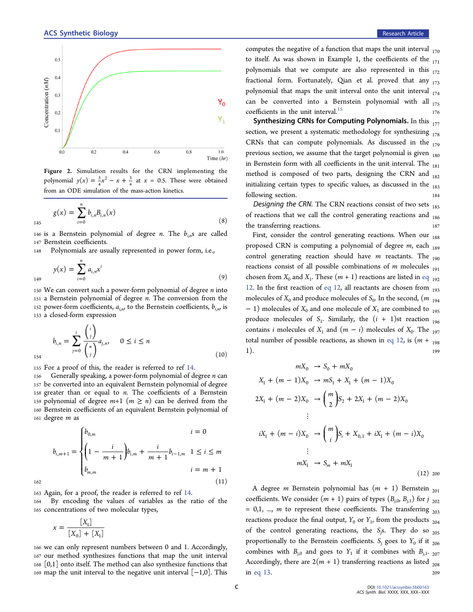

Figure 2. Simulation results for the CRN implementing the polynomial  $y(x) = \frac{3}{4}x^2 - x +$  $x^2 - x + \frac{3}{4}$  at  $x = 0.5$ . These were obtained from an ODE simulation of the mass-action kinetics.

$$
g(x) = \sum_{i=0}^{n} b_{i,n} B_{i,n}(x)
$$
\n(8)

146 is a Bernstein polynomial of degree *n*. The  $b_{i,n}$ s are called <sup>147</sup> Bernstein coefficients.

<sup>148</sup> Polynomials are usually represented in power form, i.e.,

$$
y(x) = \sum_{i=0}^{n} a_{i,n} x^{i}
$$
 (9)

150 We can convert such a power-form polynomial of degree  $n$  into <sup>151</sup> a Bernstein polynomial of degree n. The conversion from the 152 power-form coefficients,  $a_{i,n}$ , to the Bernstein coefficients,  $b_{i,n}$ , is <sup>153</sup> a closed-form expression

$$
b_{i,n} = \sum_{j=0}^{i} \frac{{i \choose j}}{{n \choose j}} a_{j,n}, \quad 0 \le i \le n
$$
\n<sup>154</sup> (10)

<sup>155</sup> For a proof of this, the reader is referred to ref 14.

 Generally speaking, a power-form polynomial of degree n can be converted into an equivalent Bernstein polynomial of degree 158 greater than or equal to  $n$ . The coefficients of a Bernstein 159 polynomial of degree  $m+1$   $(m \geq n)$  can be derived from the Bernstein coefficients of an equivalent Bernstein polynomial of degree m as

$$
b_{i,m+1} = \begin{cases} b_{0,m} & i = 0\\ \left(1 - \frac{i}{m+1}\right) b_{i,m} + \frac{i}{m+1} b_{i-1,m} & 1 \le i \le m\\ b_{m,m} & i = m+1 \end{cases}
$$
  
162 (11)

<sup>163</sup> Again, for a proof, the reader is referred to ref 14.

<sup>164</sup> By encoding the values of variables as the ratio of the <sup>165</sup> concentrations of two molecular types,

$$
x = \frac{[X_1]}{[X_0] + [X_1]}
$$

 we can only represent numbers between 0 and 1. Accordingly, our method synthesizes functions that map the unit interval [0,1] onto itself. The method can also synthesize functions that 169 map the unit interval to the negative unit interval  $[-1,0]$ . This computes the negative of a function that maps the unit interval  $_{170}$ to itself. As was shown in Example 1, the coefficients of the  $_{171}$ polynomials that we compute are also represented in this  $_{172}$ fractional form. Fortunately, Qian et al. proved that any  $_{173}$ polynomial that maps the unit interval onto the unit interval  $_{174}$ can be converted into a Bernstein polynomial with all  $_{175}$ coefficients in the unit interval.<sup>15</sup>

Synthesizing CRNs for Computing Polynomials. In this  $_{177}$ section, we present a systematic methodology for synthesizing  $_{178}$ CRNs that can compute polynomials. As discussed in the  $_{179}$ previous section, we assume that the target polynomial is given  $_{180}$ in Bernstein form with all coefficients in the unit interval. The  $_{181}$ method is composed of two parts, designing the CRN and  $_{182}$ initializing certain types to specific values, as discussed in the  $_{183}$ following section. 184

Designing the CRN. The CRN reactions consist of two sets  $_{185}$ of reactions that we call the control generating reactions and  $_{186}$ the transferring reactions.

First, consider the control generating reactions. When our  $_{188}$ proposed CRN is computing a polynomial of degree  $m$ , each  $_{189}$ control generating reaction should have  $m$  reactants. The  $_{190}$ reactions consist of all possible combinations of  $m$  molecules  $_{191}$ chosen from  $X_0$  and  $X_1$ . These  $(m + 1)$  reactions are listed in eq  $_{192}$ 12. In the first reaction of eq 12, all reactants are chosen from  $_{193}$ molecules of  $X_0$  and produce molecules of  $S_0$ . In the second,  $(m_{194}$  $-1$ ) molecules of  $X_0$  and one molecule of  $X_1$  are combined to  $_{195}$ produce molecules of  $S_1$ . Similarly, the  $(i + 1)$ st reaction  $_{196}$ contains *i* molecules of  $X_1$  and  $(m - i)$  molecules of  $X_0$ . The <sub>197</sub> total number of possible reactions, as shown in eq 12, is  $(m + 198)$ 1). <sup>199</sup>

$$
mX_0 \rightarrow S_0 + mX_0
$$
  
\n
$$
X_1 + (m - 1)X_0 \rightarrow mS_1 + X_1 + (m - 1)X_0
$$
  
\n
$$
2X_1 + (m - 2)X_0 \rightarrow {m \choose 2}S_2 + 2X_1 + (m - 2)X_0
$$
  
\n
$$
\vdots
$$
  
\n
$$
iX_1 + (m - i)X_0 \rightarrow {m \choose i}S_i + X_{0,1} + iX_1 + (m - i)X_0
$$
  
\n
$$
\vdots
$$
  
\n
$$
mX_1 \rightarrow S_m + mX_1
$$
  
\n(12) 200

A degree *m* Bernstein polynomial has  $(m + 1)$  Bernstein <sub>201</sub> coefficients. We consider  $(m + 1)$  pairs of types  $(B_{i,0}, B_{i,1})$  for j <sub>202</sub>  $= 0,1, ..., m$  to represent these coefficients. The transferring  $_{203}$ reactions produce the final output,  $Y_0$  or  $Y_1$ , from the products  $_{204}$ of the control generating reactions, the  $S_j$ s. They do so  $_{205}$ proportionally to the Bernstein coefficients.  $S_i$  goes to  $Y_0$  if it  $_{206}$ combines with  $B_{j,0}$  and goes to  $Y_1$  if it combines with  $B_{j,1}$ . <sub>207</sub> Accordingly, there are  $2(m + 1)$  transferring reactions as listed <sub>208</sub> in eq 13. <sup>209</sup>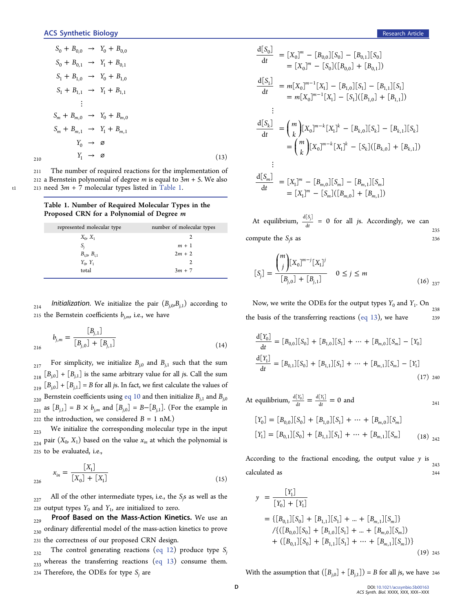$$
S_0 + B_{0,0} \rightarrow Y_0 + B_{0,0}
$$
  
\n
$$
S_0 + B_{0,1} \rightarrow Y_1 + B_{0,1}
$$
  
\n
$$
S_1 + B_{1,0} \rightarrow Y_0 + B_{1,0}
$$
  
\n
$$
S_1 + B_{1,1} \rightarrow Y_1 + B_{1,1}
$$
  
\n
$$
\vdots
$$
  
\n
$$
S_m + B_{m,0} \rightarrow Y_0 + B_{m,0}
$$
  
\n
$$
S_m + B_{m,1} \rightarrow Y_1 + B_{m,1}
$$
  
\n
$$
Y_0 \rightarrow \varnothing
$$
  
\n210  
\n(13)

<sup>211</sup> The number of required reactions for the implementation of 212 a Bernstein polynomial of degree *m* is equal to  $3m + 5$ . We also  $t1$  213 need  $3m + 7$  molecular types listed in Table 1.

Table 1. Number of Required Molecular Types in the Proposed CRN for a Polynomial of Degree m

| represented molecular type | number of molecular types |
|----------------------------|---------------------------|
| $X_0, X_1$                 |                           |
| S,                         | $m + 1$                   |
| $B_{i,0}, B_{i,1}$         | $2m + 2$                  |
| $Y_0, Y_1$                 |                           |
| total                      | $3m + 7$                  |

214 Initialization. We initialize the pair  $(B_{j,0},B_{j,1})$  according to 215 the Bernstein coefficients  $b_{i,m}$ , i.e., we have

$$
b_{j,m} = \frac{[B_{j,1}]}{[B_{j,0}]+[B_{j,1}]}
$$
(14)

 $_{217}$  For simplicity, we initialize  $B_{j,0}$  and  $B_{j,1}$  such that the sum  $_{218}$   $[B_{j,0}]$  +  $[B_{j,1}]$  is the same arbitrary value for all js. Call the sum  $_{219}$   $[B_{j,0}]$  +  $[B_{j,1}]$  = B for all js. In fact, we first calculate the values of  $_{220}$  Bernstein coefficients using eq 10 and then initialize  $B_{j,1}$  and  $B_{j,0}$  $_{221}$  as  $[B_{j,1}] = B \times b_{j,m}$  and  $[B_{j,0}] = B-[B_{j,1}]$ . (For the example in 222 the introduction, we considered  $B = 1$  nM.)

 $223$  We initialize the corresponding molecular type in the input  $_{224}$  pair  $(X_0, X_1)$  based on the value  $x_{in}$  at which the polynomial is <sup>225</sup> to be evaluated, i.e.,

$$
x_{in} = \frac{[X_1]}{[X_0] + [X_1]}
$$
\n(15)

 $_{227}$  All of the other intermediate types, i.e., the  $S_j$ s as well as the 228 output types  $Y_0$  and  $Y_1$ , are initialized to zero.

 $_{229}$  Proof Based on the Mass-Action Kinetics. We use an  $_{230}$  ordinary differential model of the mass-action kinetics to prove <sup>231</sup> the correctness of our proposed CRN design.

 $232$  The control generating reactions (eq 12) produce type S<sub>j</sub>  $_{233}$  whereas the transferring reactions (eq 13) consume them. 234 Therefore, the ODEs for type  $S_i$  are

$$
\frac{d[S_0]}{dt} = [X_0]^m - [B_{0,0}][S_0] - [B_{0,1}][S_0]
$$
  
\n
$$
= [X_0]^m - [S_0]([B_{0,0}] + [B_{0,1}])
$$
  
\n
$$
\frac{d[S_1]}{dt} = m[X_0]^{m-1}[X_1] - [B_{1,0}][S_1] - [B_{1,1}][S_1]
$$
  
\n
$$
= m[X_0]^{m-1}[X_1] - [S_1]([B_{1,0}] + [B_{1,1}])
$$
  
\n
$$
\vdots
$$
  
\n
$$
\frac{d[S_k]}{dt} = {m \choose k} [X_0]^{m-k} [X_1]^k - [B_{k,0}][S_k] - [B_{k,1}][S_k]
$$
  
\n
$$
= {m \choose k} [X_0]^{m-k} [X_1]^k - [S_k]([B_{k,0}] + [B_{k,1}])
$$
  
\n
$$
\vdots
$$
  
\n
$$
\frac{d[S_m]}{dt} = [X_1]^m - [B_{m,0}][S_m] - [B_{m,1}][S_m]
$$
  
\n
$$
= [X_1]^m - [S_m]([B_{m,0}] + [B_{m,1}])
$$

235 At equilibrium,  $\frac{d[S]}{dt}$  $d[S_i]$  $\frac{d^{[3]}(3)}{dt}$  = 0 for all *js*. Accordingly, we can compute the  $S_j$ s as  $236$ 

$$
[S_j] = \frac{{\binom{m}{j}} [X_0]^{m-j} [X_1]^j}{[B_{j,0}] + [B_{j,1}]} \quad 0 \le j \le m
$$
\n(16) 237

238 Now, we write the ODEs for the output types  $Y_0$  and  $Y_1$ . On the basis of the transferring reactions (eq 13), we have  $239$ 

$$
\frac{d[Y_0]}{dt} = [B_{0,0}][S_0] + [B_{1,0}][S_1] + \dots + [B_{m,0}][S_m] - [Y_0]
$$
  

$$
\frac{d[Y_1]}{dt} = [B_{0,1}][S_0] + [B_{1,1}][S_1] + \dots + [B_{m,1}][S_m] - [Y_1]
$$
  
(17) 240

At equilibrium, 
$$
\frac{d[Y_0]}{dt} = \frac{d[Y_1]}{dt} = 0
$$
 and   
\n $[Y_0] = [B_{0,0}][S_0] + [B_{1,0}][S_1] + \dots + [B_{m,0}][S_m]$ 

$$
[Y_1] = [B_{0,1}][S_0] + [B_{1,1}][S_1] + \dots + [B_{m,1}][S_m]
$$
 (18) <sub>242</sub>

243 According to the fractional encoding, the output value  $y$  is calculated as <sup>244</sup>

$$
y = \frac{[Y_1]}{[Y_0] + [Y_1]}
$$
  
= {[B<sub>0,1</sub>][S<sub>0</sub>] + [B<sub>1,1</sub>][S<sub>1</sub>] + ... + [B<sub>m,1</sub>][S<sub>m</sub>]} / {([B<sub>0,0</sub>][S<sub>0</sub>] + [B<sub>1,0</sub>][S<sub>1</sub>] + ... + [B<sub>m,0</sub>][S<sub>m</sub>])  
+ ([B<sub>0,1</sub>][S<sub>0</sub>] + [B<sub>1,1</sub>][S<sub>1</sub>] + ... + [B<sub>m,1</sub>][S<sub>m</sub>])} (19) 245

With the assumption that  $([B_{i,0}]+[B_{i,1}]) = B$  for all js, we have 246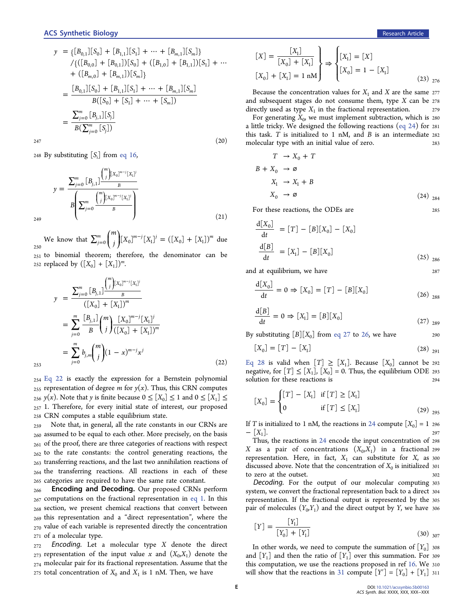$$
y = \{ [B_{0,1}] [S_0] + [B_{1,1}] [S_1] + \dots + [B_{m,1}] [S_m] \}
$$
  
\n
$$
\angle \{ ([B_{0,0}] + [B_{0,1}]) [S_0] + ([B_{1,0}] + [B_{1,1}]) [S_1] + \dots + ([B_{m,0}] + [B_{m,1}]) [S_m] \}
$$
  
\n
$$
= \frac{[B_{0,1}] [S_0] + [B_{1,1}] [S_1] + \dots + [B_{m,1}] [S_m]}{B([S_0] + [S_1] + \dots + [S_m])}
$$
  
\n
$$
= \frac{\sum_{j=0}^{m} [B_{j,1}] [S_j]}{B(\sum_{j=0}^{m} [S_j])}
$$

 $247$  (20)

248 By substituting  $[S_i]$  from eq 16,

$$
y = \frac{\sum_{j=0}^{m} [B_{j,1}] \frac{{m \choose j} [X_0]^{m-j} [X_1]^j}{B}}{B \left( \sum_{j=0}^{m} \frac{{m \choose j} [X_0]^{m-j} [X_1]^j}{B} \right)}
$$
(21)

250 We know that  $\sum_{j=0}^{m} \binom{j}{j} [X_0]^{m-j} [X_1]^{j} = ([X_0] +$  $\binom{m}{r}$   $\binom{m}{r}$  $\binom{m}{j}$  $\int_{j=0}^{m} {m \choose j} [X_0]^{m-j} [X_1]^j = ([X_0] + [X_1])^m$  due <sup>251</sup> to binomial theorem; therefore, the denominator can be

252 replaced by  $([X_0] + [X_1])^m$ .

$$
y = \frac{\sum_{j=0}^{m} [B_{j,1}] \frac{{m \choose j} [x_0]^{m-j} [x_1]^j}{{B}}
$$
  
\n
$$
= \sum_{j=0}^{m} \frac{[B_{j,1}]}{B} {m \choose j} \frac{[x_0]^{m-j} [x_1]^j}{{([x_0] + [x_1])^m}}
$$
  
\n
$$
= \sum_{j=0}^{m} b_{j,m} {m \choose j} (1-x)^{m-j} x^j
$$
 (22)

<sup>254</sup> Eq 22 is exactly the expression for a Bernstein polynomial  $_{255}$  representation of degree *m* for  $y(x)$ . Thus, this CRN computes <sub>256</sub> y(x). Note that y is finite because  $0 \leq [X_0] \leq 1$  and  $0 \leq [X_1] \leq$ <sup>257</sup> 1. Therefore, for every initial state of interest, our proposed <sup>258</sup> CRN computes a stable equilibrium state.

 Note that, in general, all the rate constants in our CRNs are assumed to be equal to each other. More precisely, on the basis of the proof, there are three categories of reactions with respect to the rate constants: the control generating reactions, the transferring reactions, and the last two annihilation reactions of the transferring reactions. All reactions in each of these categories are required to have the same rate constant.

**Encoding and Decoding.** Our proposed CRNs perform  $_{267}$  computations on the fractional representation in eq 1. In this section, we present chemical reactions that convert between this representation and a "direct representation", where the value of each variable is represented directly the concentration of a molecular type.

 Encoding. Let a molecular type X denote the direct representation of the input value x and  $(X_0, X_1)$  denote the molecular pair for its fractional representation. Assume that the 275 total concentration of  $X_0$  and  $X_1$  is 1 nM. Then, we have

$$
\begin{aligned}\n[X] &= \frac{[X_1]}{[X_0] + [X_1]} \\
[X_0] + [X_1] &= 1 \text{ nM}\n\end{aligned}\n\right\} \Rightarrow\n\begin{cases}\n[X_1] &= [X] \\
[X_0] &= 1 - [X_1] \\
\end{cases}\n\tag{23}\n\end{aligned}\n\tag{23}\n\Rightarrow\n\begin{aligned}\n\frac{[X_1] \quad [X_0] \quad [X_1] \quad [X_0] \quad [X_1] \quad [X_1] \quad [X_0] \quad [X_1] \quad [X_1] \quad [X_1] \quad [X_1] \quad [X_1] \quad [X_1] \quad [X_1] \quad [X_1] \quad [X_1] \quad [X_1] \quad [X_1] \quad [X_1] \quad [X_1] \quad [X_1] \quad [X_1] \quad [X_1] \quad [X_1] \quad [X_1] \quad [X_1] \quad [X_1] \quad [X_1] \quad [X_1] \quad [X_1] \quad [X_1] \quad [X_1] \quad [X_1] \quad [X_1] \quad [X_1] \quad [X_1] \quad [X_1] \quad [X_1] \quad [X_1] \quad [X_1] \quad [X_1] \quad [X_1] \quad [X_1] \quad [X_1] \quad [X_1] \quad [X_1] \quad [X_1] \quad [X_1] \quad [X_1] \quad [X_1] \quad [X_1] \quad [X_1] \quad [X_1] \quad [X_1] \quad [X_1] \quad [X_1] \quad [X_1] \quad [X_1] \quad [X_1] \quad [X_1] \quad [X_1] \quad [X_1] \quad [X_1] \quad [X_1] \quad [X_1] \quad [X_1] \quad [X_1] \quad [X_1] \quad [X_1] \quad [X_1] \quad [X_1] \quad [X_1] \quad [X_1] \quad [X_1] \quad [X_1] \quad [X_1] \quad [X_1] \quad [X_1] \quad [X_1] \quad [X_1] \quad [X_1] \quad [X_1] \quad [X_1] \quad [X_1] \quad [X_1] \quad [X_1] \quad [X_1] \quad [X_1] \quad [X
$$

Because the concentration values for  $X_1$  and X are the same 277 and subsequent stages do not consume them, type  $X$  can be  $278$ directly used as type  $X_1$  in the fractional representation.

For generating  $X_0$ , we must implement subtraction, which is 280 a little tricky. We designed the following reactions (eq 24) for <sup>281</sup> this task. T is initialized to 1 nM, and B is an intermediate <sup>282</sup> molecular type with an initial value of zero. <sup>283</sup>

$$
T \rightarrow X_0 + T
$$
  
\n
$$
B + X_0 \rightarrow \varnothing
$$
  
\n
$$
X_1 \rightarrow X_1 + B
$$
  
\n
$$
X_0 \rightarrow \varnothing
$$
  
\n(24)  $_{284}$ 

For these reactions, the ODEs are 285

$$
\frac{d[X_0]}{dt} = [T] - [B][X_0] - [X_0]
$$
  

$$
\frac{d[B]}{dt} = [X_1] - [B][X_0]
$$
 (25) 286

and at equilibrium, we have 287

$$
\frac{d[X_0]}{dt} = 0 \Rightarrow [X_0] = [T] - [B][X_0]
$$
\n(26) 288

$$
\frac{\mathrm{d}[B]}{\mathrm{d}t} = 0 \Rightarrow [X_1] = [B][X_0] \tag{27}
$$

By substituting  $[B][X_0]$  from eq 27 to 26, we have 290

$$
[X_0] = [T] - [X_1] \tag{28}
$$

Eq 28 is valid when  $[T] \geq [X_1]$ . Because  $[X_0]$  cannot be 292 negative, for  $[T] \leq [X_1]$ ,  $[X_0] = 0$ . Thus, the equilibrium ODE 293 solution for these reactions is 294

$$
[X_0] = \begin{cases} [T] - [X_1] & \text{if } [T] \ge [X_1] \\ 0 & \text{if } [T] \le [X_1] \end{cases}
$$
 (29) 295

If *T* is initialized to 1 nM, the reactions in 24 compute  $[X_0] = 1$  296 –  $[X_1]$ .  $-$  [X<sub>1</sub>]. 297

Thus, the reactions in 24 encode the input concentration of <sup>298</sup> X as a pair of concentrations  $(X_0, X_1)$  in a fractional 299 representation. Here, in fact,  $X_1$  can substitute for  $X$ , as 300 discussed above. Note that the concentration of  $X_0$  is initialized 301 to zero at the outset. 302

Decoding. For the output of our molecular computing <sup>303</sup> system, we convert the fractional representation back to a direct <sup>304</sup> representation. If the fractional output is represented by the <sup>305</sup> pair of molecules  $(Y_0, Y_1)$  and the direct output by Y, we have 306

$$
[Y] = \frac{[Y_1]}{[Y_0] + [Y_1]}
$$
\n(30)  $_{307}$ 

In other words, we need to compute the summation of  $[Y_0]$  308 and  $[Y_1]$  and then the ratio of  $[Y_1]$  over this summation. For 309 this computation, we use the reactions proposed in ref 16. We <sup>310</sup> will show that the reactions in 31 compute  $[Y']=[Y_0]+[Y_1]$  311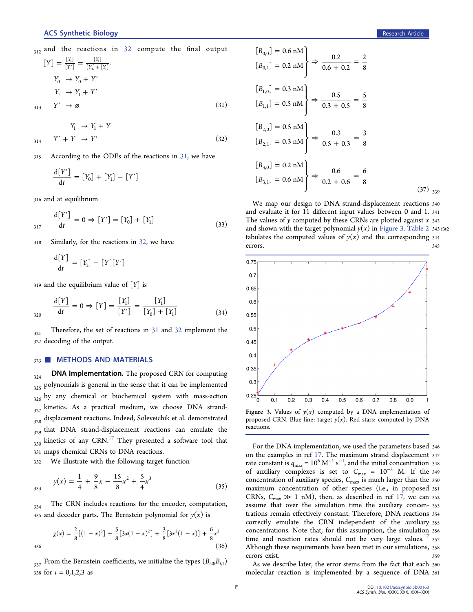$$
[Y] = \frac{[Y_1]}{[Y']} = \frac{[Y_1]}{[Y_0] + [Y_1]}.
$$
  
\n
$$
Y_0 \rightarrow Y_0 + Y'
$$
  
\n
$$
Y_1 \rightarrow Y_1 + Y'
$$
  
\n
$$
313 \quad Y' \rightarrow \varnothing
$$
\n(31)

 $Y_1 \rightarrow Y_1 + Y$  $Y' + Y \to Y'$  (32)

<sup>315</sup> According to the ODEs of the reactions in 31, we have

$$
\frac{\mathrm{d}[Y']}{\mathrm{d}t} = [Y_0] + [Y_1] - [Y']
$$

<sup>316</sup> and at equilibrium

$$
\frac{d[Y']}{dt} = 0 \Rightarrow [Y'] = [Y_0] + [Y_1]
$$
\n(33)

<sup>318</sup> Similarly, for the reactions in 32, we have

$$
\frac{\mathrm{d}[Y]}{\mathrm{d}t} = [Y_1] - [Y][Y']
$$

 $319$  and the equilibrium value of  $[Y]$  is

$$
\frac{d[Y]}{dt} = 0 \Rightarrow [Y] = \frac{[Y_1]}{[Y']} = \frac{[Y_1]}{[Y_0] + [Y_1]} \tag{34}
$$

 $321$  Therefore, the set of reactions in 31 and 32 implement the <sup>322</sup> decoding of the output.

#### 323 METHODS AND MATERIALS

 $_{324}$  DNA Implementation. The proposed CRN for computing 325 polynomials is general in the sense that it can be implemented  $326$  by any chemical or biochemical system with mass-action  $327$  kinetics. As a practical medium, we choose DNA strand- $_{328}$  displacement reactions. Indeed, Soleveichik et al. demonstrated 329 that DNA strand-displacement reactions can emulate the  $330$  kinetics of any CRN.<sup>17</sup> They presented a software tool that <sup>331</sup> maps chemical CRNs to DNA reactions.

<sup>332</sup> We illustrate with the following target function

$$
y(x) = \frac{1}{4} + \frac{9}{8}x - \frac{15}{8}x^2 + \frac{5}{4}x^3
$$
 (35)

<sub>334</sub> The CRN includes reactions for the encoder, computation, 335 and decoder parts. The Bernstein polynomial for  $y(x)$  is

$$
g(x) = \frac{2}{8}[(1-x)^3] + \frac{5}{8}[3x(1-x)^2] + \frac{3}{8}[3x^2(1-x)] + \frac{6}{8}x^3
$$
\n(36)

 $337$  From the Bernstein coefficients, we initialize the types  $(B_{i,0}, B_{i,1})$ 338 for  $i = 0,1,2,3$  as

$$
[B_{0,0}] = 0.6 \text{ nM}
$$
  
\n
$$
[B_{0,1}] = 0.2 \text{ nM}
$$
  
\n
$$
[B_{1,0}] = 0.3 \text{ nM}
$$
  
\n
$$
[B_{1,1}] = 0.5 \text{ nM}
$$
  
\n
$$
[B_{2,0}] = 0.5 \text{ nM}
$$
  
\n
$$
[B_{2,0}] = 0.5 \text{ nM}
$$
  
\n
$$
[B_{2,1}] = 0.3 \text{ nM}
$$
  
\n
$$
[B_{3,0}] = 0.2 \text{ nM}
$$
  
\n
$$
[B_{3,0}] = 0.2 \text{ nM}
$$
  
\n
$$
[B_{3,1}] = 0.6 \text{ nM}
$$
  
\n
$$
\Rightarrow \frac{0.6}{0.2 + 0.6} = \frac{6}{8}
$$
  
\n(37) 339

We map our design to DNA strand-displacement reactions <sup>340</sup> and evaluate it for 11 different input values between 0 and 1. <sup>341</sup> The values of  $\gamma$  computed by these CRNs are plotted against  $x$  342 and shown with the target polynomial  $y(x)$  in Figure 3. Table 2 343 f3t2 tabulates the computed values of  $y(x)$  and the corresponding 344 errors. 345



proposed CRN. Blue line: target  $y(x)$ . Red stars: computed by DNA reactions.

For the DNA implementation, we used the parameters based <sup>346</sup> on the examples in ref 17. The maximum strand displacement <sup>347</sup> rate constant is  $q_{\text{max}} = 10^6 \text{ M}^{-1} \text{ s}^{-1}$ , and the initial concentration 348 of auxiliary complexes is set to  $C_{\text{max}} = 10^{-5}$  M. If the 349 concentration of auxiliary species,  $C_{\text{max}}$  is much larger than the 350 maximum concentration of other species (i.e., in proposed <sup>351</sup> CRNs,  $C_{\text{max}} \gg 1$  nM), then, as described in ref 17, we can 352 assume that over the simulation time the auxiliary concen- <sup>353</sup> trations remain effectively constant. Therefore, DNA reactions <sup>354</sup> correctly emulate the CRN independent of the auxiliary <sup>355</sup> concentrations. Note that, for this assumption, the simulation <sup>356</sup> time and reaction rates should not be very large values.<sup>17</sup> 357 Although these requirements have been met in our simulations, <sup>358</sup> errors exist. <sup>359</sup>

As we describe later, the error stems from the fact that each <sup>360</sup> molecular reaction is implemented by a sequence of DNA <sup>361</sup>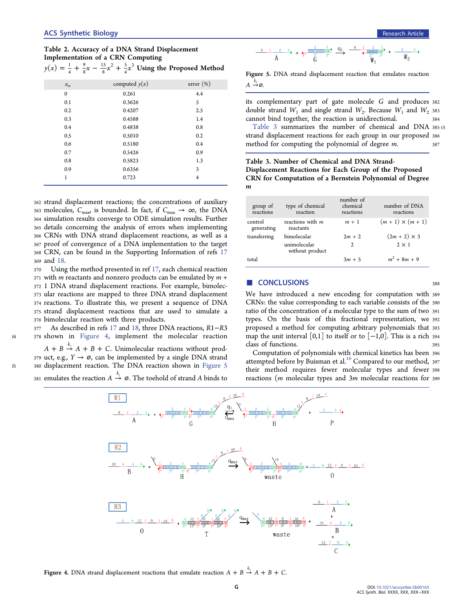Table 2. Accuracy of a DNA Strand Displacement Implementation of a CRN Computing 9 15  $^{2}$   $\pm$   $^{5}$ 

|              | $y(x) = \frac{1}{4} + \frac{9}{8}x - \frac{15}{8}x^2 + \frac{5}{4}x^3$ Using the Proposed Method |              |
|--------------|--------------------------------------------------------------------------------------------------|--------------|
| $x_{in}$     | computed $y(x)$                                                                                  | $error (\%)$ |
| $\mathbf{0}$ | 0.261                                                                                            | 4.4          |
| 0.1          | 0.3626                                                                                           | 5            |
| 0.2          | 0.4207                                                                                           | 2.5          |
| 0.3          | 0.4588                                                                                           | 1.4          |
| 0.4          | 0.4838                                                                                           | 0.8          |
| 0.5          | 0.5010                                                                                           | 0.2          |
| 0.6          | 0.5180                                                                                           | 0.4          |
| 0.7          | 0.5426                                                                                           | 0.9          |
| 0.8          | 0.5823                                                                                           | 1.3          |
| 0.9          | 0.6356                                                                                           | 3            |
| 1            | 0.723                                                                                            | 4            |

 strand displacement reactions; the concentrations of auxiliary 363 molecules,  $C_{\text{max}}$  is bounded. In fact, if  $C_{\text{max}} \to \infty$ , the DNA simulation results converge to ODE simulation results. Further details concerning the analysis of errors when implementing CRNs with DNA strand displacement reactions, as well as a proof of convergence of a DNA implementation to the target CRN, can be found in the Supporting Information of refs 17 <sup>369</sup> and 18.

 Using the method presented in ref 17, each chemical reaction with *m* reactants and nonzero products can be emulated by  $m +$  1 DNA strand displacement reactions. For example, bimolec- ular reactions are mapped to three DNA strand displacement reactions. To illustrate this, we present a sequence of DNA strand displacement reactions that are used to simulate a bimolecular reaction with three products.

As described in refs 17 and 18, three DNA reactions, R1−R3 378 shown in Figure 4, implement the molecular reaction

 $A + B \stackrel{k_i}{\rightarrow} A + B + C$ . Unimolecular reactions without prod-379 uct, e.g.,  $Y \rightarrow \emptyset$ , can be implemented by a single DNA strand f5 380 displacement reaction. The DNA reaction shown in Figure 5 381 emulates the reaction  $A \stackrel{k_i}{\rightarrow} \emptyset$ . The toehold of strand A binds to



Figure 5. DNA strand displacement reaction that emulates reaction  $A \stackrel{k_i}{\rightarrow} \varnothing$ .

its complementary part of gate molecule G and produces <sup>382</sup> double strand  $W_1$  and single strand  $W_2$ . Because  $W_1$  and  $W_2$  383 cannot bind together, the reaction is unidirectional. <sup>384</sup>

Table 3 summarizes the number of chemical and DNA 385 t3 strand displacement reactions for each group in our proposed <sup>386</sup> method for computing the polynomial of degree *m*. 387

Table 3. Number of Chemical and DNA Strand-Displacement Reactions for Each Group of the Proposed CRN for Computation of a Bernstein Polynomial of Degree m

| group of<br>reactions | type of chemical<br>reaction    | number of<br>chemical<br>reactions | number of DNA<br>reactions |
|-----------------------|---------------------------------|------------------------------------|----------------------------|
| control<br>generating | reactions with m<br>reactants   | $m + 1$                            | $(m + 1) \times (m + 1)$   |
| transferring          | bimolecular                     | $2m + 2$                           | $(2m + 2) \times 3$        |
|                       | unimolecular<br>without product | 2                                  | $2 \times 1$               |
| total                 |                                 | $3m + 5$                           | $m^2 + 8m + 9$             |

### ■ CONCLUSIONS 388

We have introduced a new encoding for computation with <sup>389</sup> CRNs: the value corresponding to each variable consists of the <sup>390</sup> ratio of the concentration of a molecular type to the sum of two <sup>391</sup> types. On the basis of this fractional representation, we <sup>392</sup> proposed a method for computing arbitrary polynomials that <sup>393</sup> map the unit interval [0,1] to itself or to  $[-1,0]$ . This is a rich 394 class of functions.

Computation of polynomials with chemical kinetics has been <sup>396</sup> attempted before by Buisman et al.<sup>16</sup> Compared to our method, 397 their method requires fewer molecular types and fewer <sup>398</sup> reactions (m molecular types and 3m molecular reactions for <sup>399</sup>



Figure 4. DNA strand displacement reactions that emulate reaction  $A + B \stackrel{\kappa_i}{\rightarrow} A + B + C$ .